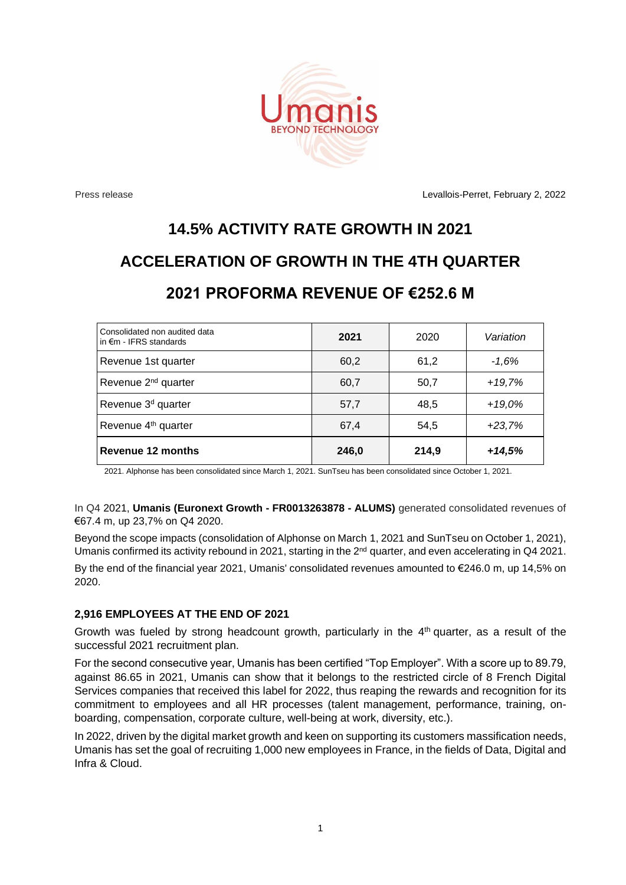

Press release Levallois-Perret, February 2, 2022

# **14.5% ACTIVITY RATE GROWTH IN 2021 ACCELERATION OF GROWTH IN THE 4TH QUARTER 2021 PROFORMA REVENUE OF €252.6 M**

| Consolidated non audited data<br>in $\epsilon$ m - IFRS standards | 2021  | 2020  | Variation |
|-------------------------------------------------------------------|-------|-------|-----------|
| Revenue 1st quarter                                               | 60,2  | 61,2  | $-1,6%$   |
| Revenue 2 <sup>nd</sup> quarter                                   | 60,7  | 50,7  | $+19,7%$  |
| Revenue 3 <sup>d</sup> quarter                                    | 57,7  | 48,5  | $+19,0%$  |
| Revenue 4 <sup>th</sup> quarter                                   | 67,4  | 54,5  | $+23,7%$  |
| Revenue 12 months                                                 | 246,0 | 214,9 | $+14,5%$  |

2021. Alphonse has been consolidated since March 1, 2021. SunTseu has been consolidated since October 1, 2021.

In Q4 2021, **Umanis (Euronext Growth - FR0013263878 - ALUMS)** generated consolidated revenues of €67.4 m, up 23,7% on Q4 2020.

Beyond the scope impacts (consolidation of Alphonse on March 1, 2021 and SunTseu on October 1, 2021), Umanis confirmed its activity rebound in 2021, starting in the 2<sup>nd</sup> quarter, and even accelerating in Q4 2021.

By the end of the financial year 2021, Umanis' consolidated revenues amounted to €246.0 m, up 14,5% on 2020.

#### **2,916 EMPLOYEES AT THE END OF 2021**

Growth was fueled by strong headcount growth, particularly in the 4<sup>th</sup> quarter, as a result of the successful 2021 recruitment plan.

For the second consecutive year, Umanis has been certified "Top Employer". With a score up to 89.79, against 86.65 in 2021, Umanis can show that it belongs to the restricted circle of 8 French Digital Services companies that received this label for 2022, thus reaping the rewards and recognition for its commitment to employees and all HR processes (talent management, performance, training, onboarding, compensation, corporate culture, well-being at work, diversity, etc.).

In 2022, driven by the digital market growth and keen on supporting its customers massification needs, Umanis has set the goal of recruiting 1,000 new employees in France, in the fields of Data, Digital and Infra & Cloud.